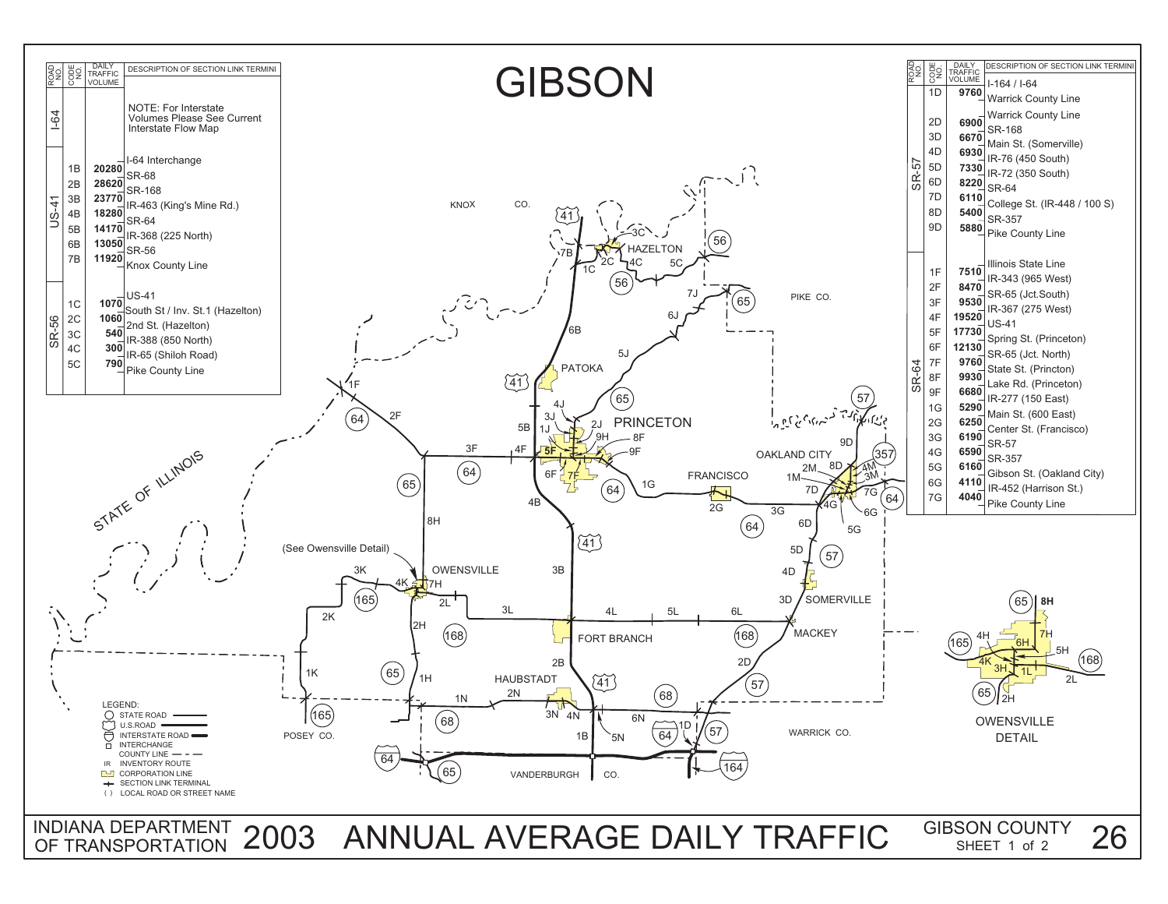